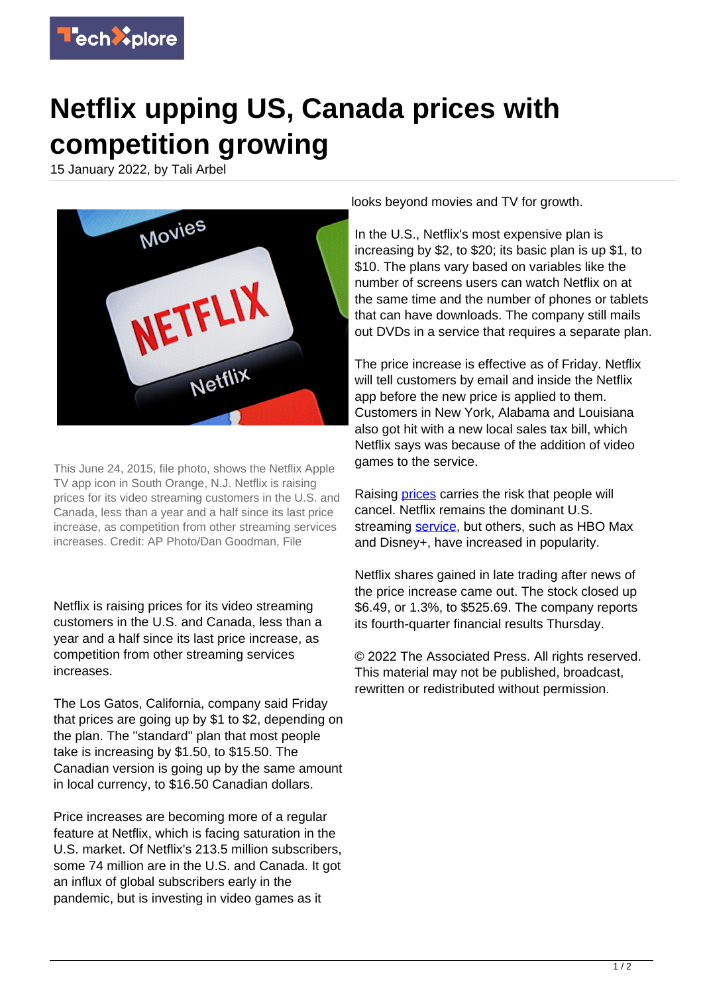

## **Netflix upping US, Canada prices with competition growing**

15 January 2022, by Tali Arbel



This June 24, 2015, file photo, shows the Netflix Apple TV app icon in South Orange, N.J. Netflix is raising prices for its video streaming customers in the U.S. and Canada, less than a year and a half since its last price increase, as competition from other streaming services increases. Credit: AP Photo/Dan Goodman, File

Netflix is raising prices for its video streaming customers in the U.S. and Canada, less than a year and a half since its last price increase, as competition from other streaming services increases.

The Los Gatos, California, company said Friday that prices are going up by \$1 to \$2, depending on the plan. The "standard" plan that most people take is increasing by \$1.50, to \$15.50. The Canadian version is going up by the same amount in local currency, to \$16.50 Canadian dollars.

Price increases are becoming more of a regular feature at Netflix, which is facing saturation in the U.S. market. Of Netflix's 213.5 million subscribers, some 74 million are in the U.S. and Canada. It got an influx of global subscribers early in the pandemic, but is investing in video games as it

looks beyond movies and TV for growth.

In the U.S., Netflix's most expensive plan is increasing by \$2, to \$20; its basic plan is up \$1, to \$10. The plans vary based on variables like the number of screens users can watch Netflix on at the same time and the number of phones or tablets that can have downloads. The company still mails out DVDs in a service that requires a separate plan.

The price increase is effective as of Friday. Netflix will tell customers by email and inside the Netflix app before the new price is applied to them. Customers in New York, Alabama and Louisiana also got hit with a new local sales tax bill, which Netflix says was because of the addition of video games to the service.

Raising [prices](https://techxplore.com/tags/prices/) carries the risk that people will cancel. Netflix remains the dominant U.S. streaming [service,](https://techxplore.com/tags/service/) but others, such as HBO Max and Disney+, have increased in popularity.

Netflix shares gained in late trading after news of the price increase came out. The stock closed up \$6.49, or 1.3%, to \$525.69. The company reports its fourth-quarter financial results Thursday.

© 2022 The Associated Press. All rights reserved. This material may not be published, broadcast, rewritten or redistributed without permission.